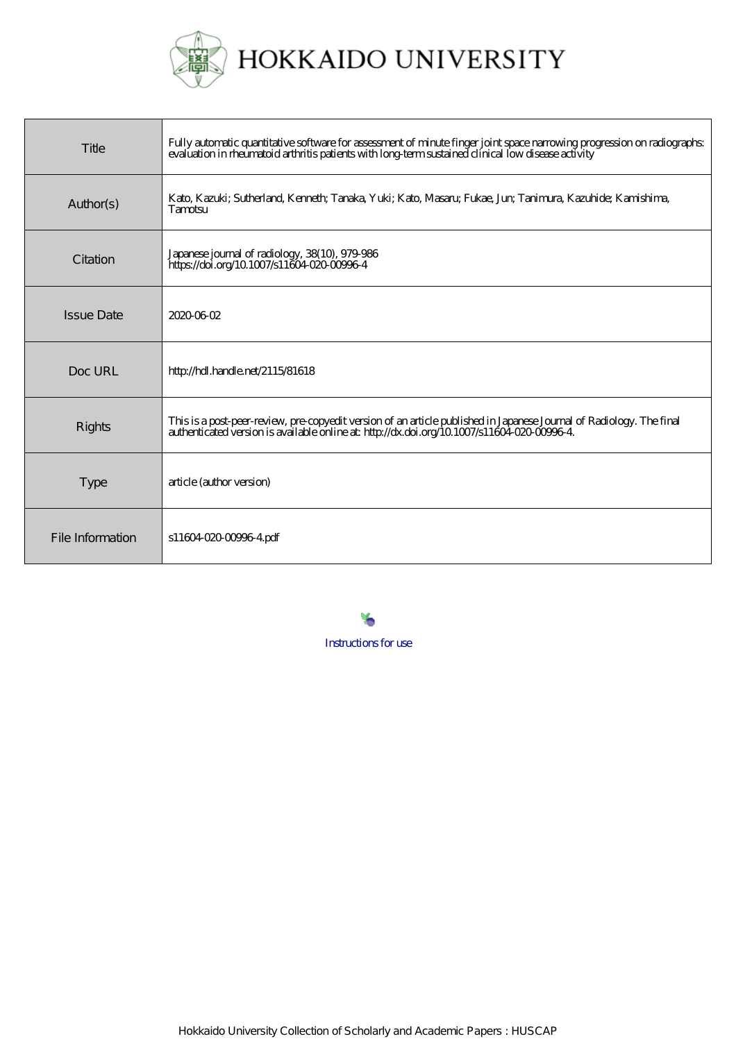

| Title             | Fully automatic quantitative software for assessment of minute finger joint space narrowing progression on radiographs:<br>evaluation in rheumatoid arthritis patients with long-term sustained clinical low disease activity |
|-------------------|-------------------------------------------------------------------------------------------------------------------------------------------------------------------------------------------------------------------------------|
| Author(s)         | Kato, Kazuki; Sutherland, Kenneth; Tanaka, Yuki; Kato, Masaru; Fukae, Jun; Tanimura, Kazuhide; Kamishima,<br>Tamotsu                                                                                                          |
| Citation          | Japanese journal of radiology, 38(10), 979-986<br>https://doi.org/10.1007/s11604020000064                                                                                                                                     |
| <b>Issue Date</b> | 20200602                                                                                                                                                                                                                      |
| Doc URL           | http://hdl.handle.net/2115/81618                                                                                                                                                                                              |
| <b>Rights</b>     | This is a post-peer-review, pre-copyedit version of an article published in Japanese Journal of Radiology. The final<br>authenticated version is available online at: http://dx.doi.org/10.1007/s11604-020-00996-4            |
| <b>Type</b>       | article (author version)                                                                                                                                                                                                      |
| File Information  | s1160402000964pdf                                                                                                                                                                                                             |

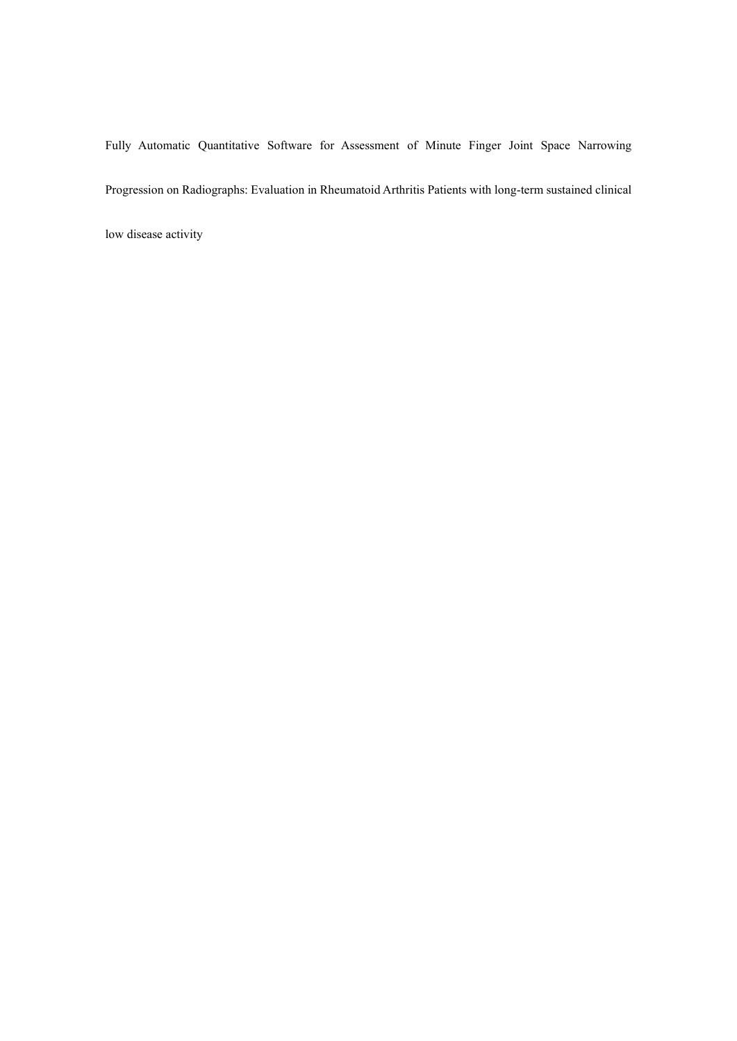Fully Automatic Quantitative Software for Assessment of Minute Finger Joint Space Narrowing Progression on Radiographs: Evaluation in Rheumatoid Arthritis Patients with long-term sustained clinical low disease activity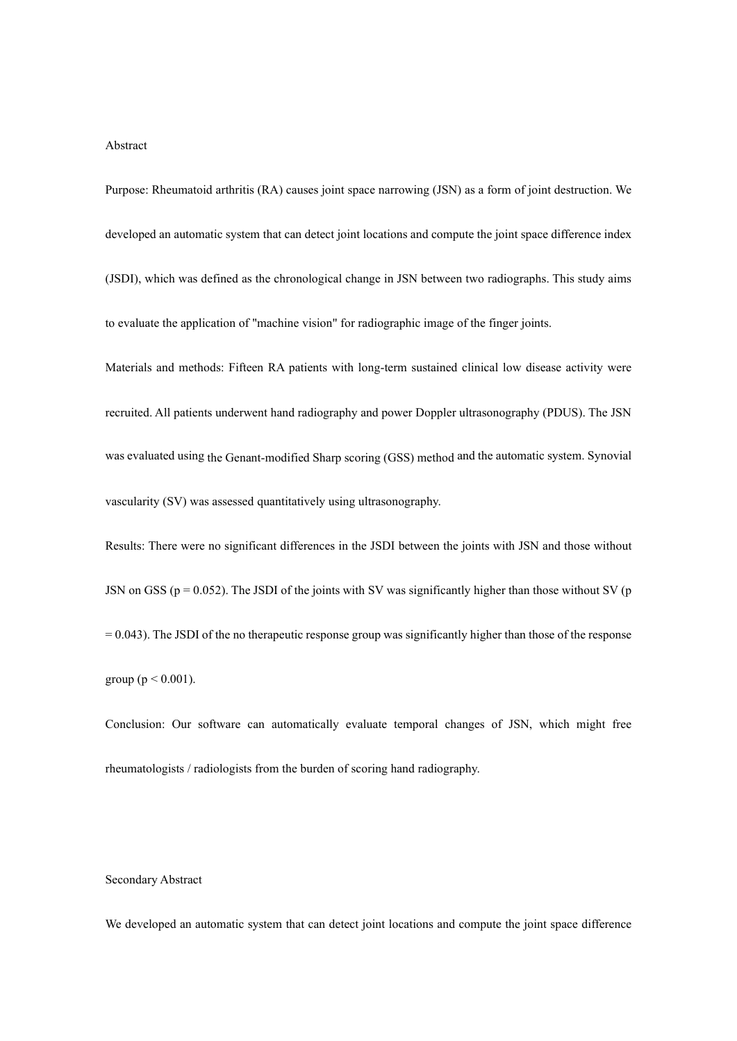### Abstract

Purpose: Rheumatoid arthritis (RA) causes joint space narrowing (JSN) as a form of joint destruction. We developed an automatic system that can detect joint locations and compute the joint space difference index (JSDI), which was defined as the chronological change in JSN between two radiographs. This study aims to evaluate the application of "machine vision" for radiographic image of the finger joints.

Materials and methods: Fifteen RA patients with long-term sustained clinical low disease activity were recruited. All patients underwent hand radiography and power Doppler ultrasonography (PDUS). The JSN was evaluated using the Genant-modified Sharp scoring (GSS) method and the automatic system. Synovial vascularity (SV) was assessed quantitatively using ultrasonography.

Results: There were no significant differences in the JSDI between the joints with JSN and those without JSN on GSS ( $p = 0.052$ ). The JSDI of the joints with SV was significantly higher than those without SV ( $p$ )  $= 0.043$ ). The JSDI of the no therapeutic response group was significantly higher than those of the response group ( $p < 0.001$ ).

Conclusion: Our software can automatically evaluate temporal changes of JSN, which might free rheumatologists / radiologists from the burden of scoring hand radiography.

## Secondary Abstract

We developed an automatic system that can detect joint locations and compute the joint space difference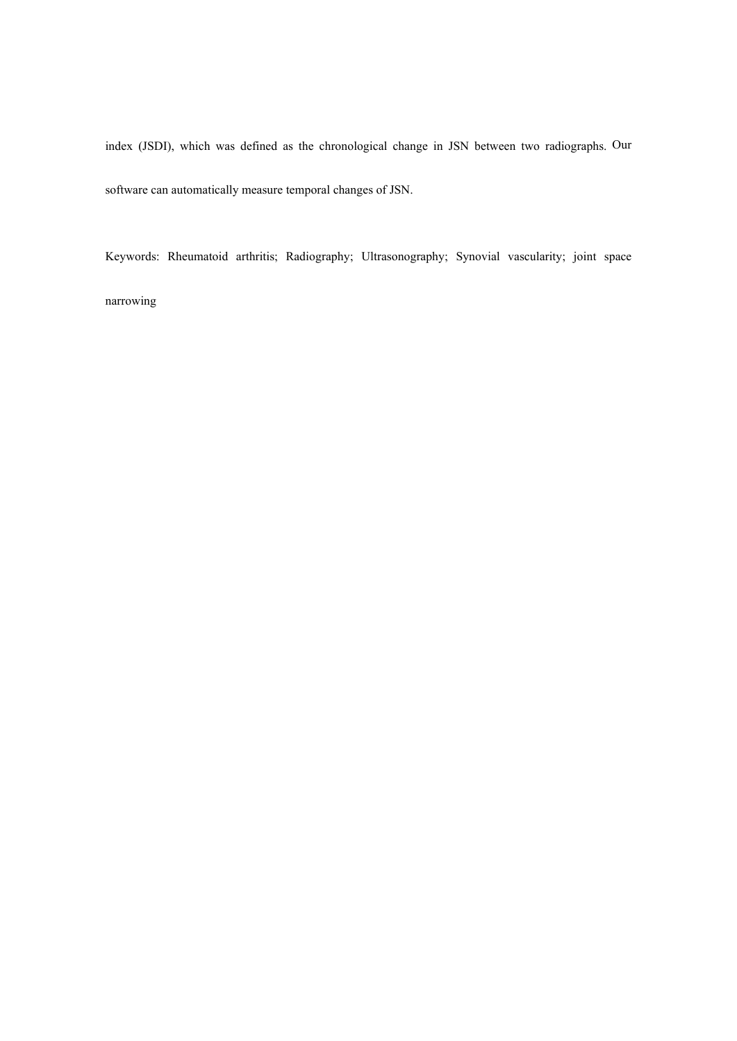index (JSDI), which was defined as the chronological change in JSN between two radiographs. Our software can automatically measure temporal changes of JSN.

Keywords: Rheumatoid arthritis; Radiography; Ultrasonography; Synovial vascularity; joint space narrowing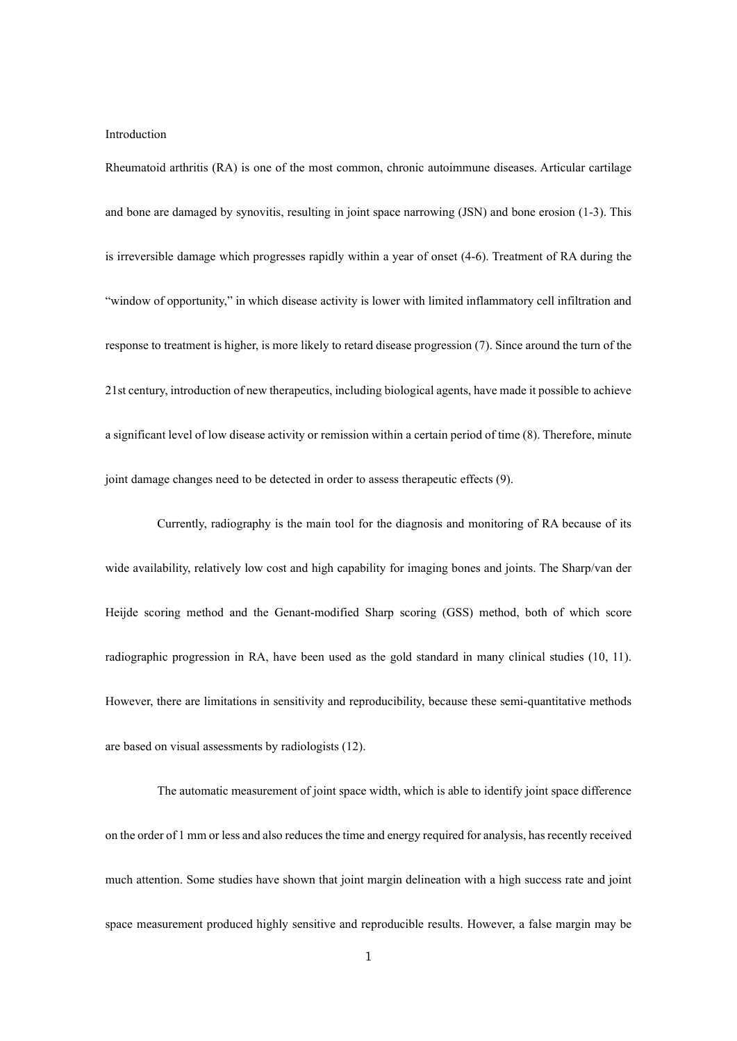### Introduction

Rheumatoid arthritis (RA) is one of the most common, chronic autoimmune diseases. Articular cartilage and bone are damaged by synovitis, resulting in joint space narrowing (JSN) and bone erosion (1-3). This is irreversible damage which progresses rapidly within a year of onset (4-6). Treatment of RA during the "window of opportunity," in which disease activity is lower with limited inflammatory cell infiltration and response to treatment is higher, is more likely to retard disease progression (7). Since around the turn of the 21st century, introduction of new therapeutics, including biological agents, have made it possible to achieve a significant level of low disease activity or remission within a certain period of time (8). Therefore, minute joint damage changes need to be detected in order to assess therapeutic effects (9).

Currently, radiography is the main tool for the diagnosis and monitoring of RA because of its wide availability, relatively low cost and high capability for imaging bones and joints. The Sharp/van der Heijde scoring method and the Genant-modified Sharp scoring (GSS) method, both of which score radiographic progression in RA, have been used as the gold standard in many clinical studies (10, 11). However, there are limitations in sensitivity and reproducibility, because these semi-quantitative methods are based on visual assessments by radiologists (12).

The automatic measurement of joint space width, which is able to identify joint space difference on the order of 1 mm or less and also reduces the time and energy required for analysis, has recently received much attention. Some studies have shown that joint margin delineation with a high success rate and joint space measurement produced highly sensitive and reproducible results. However, a false margin may be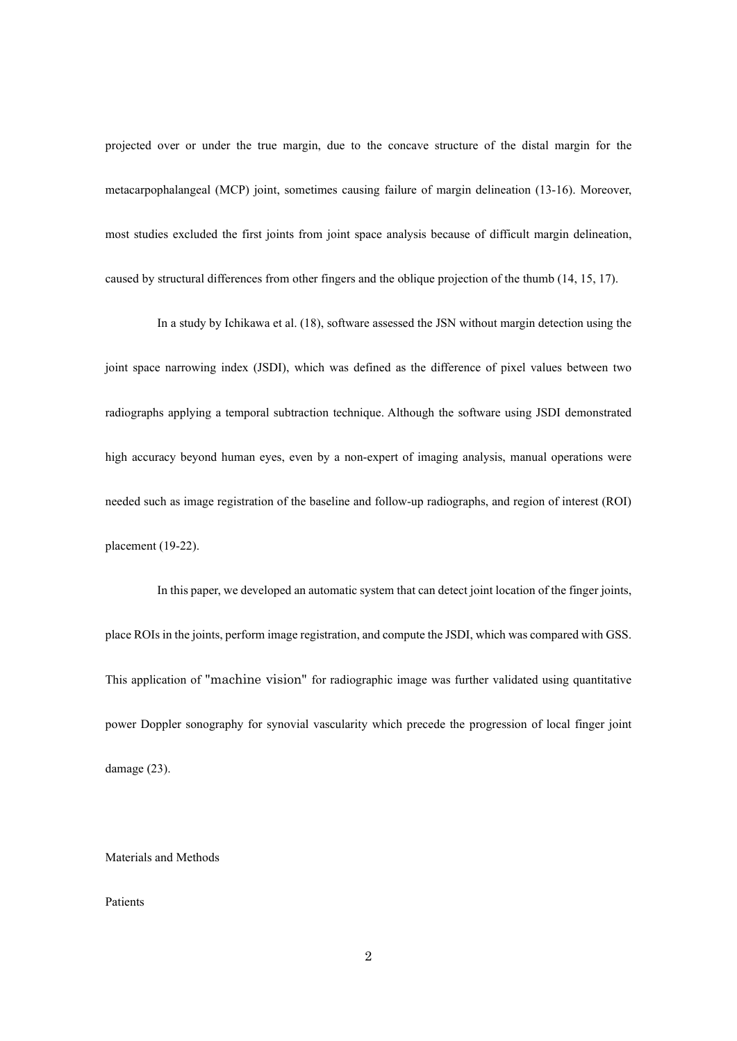projected over or under the true margin, due to the concave structure of the distal margin for the metacarpophalangeal (MCP) joint, sometimes causing failure of margin delineation (13-16). Moreover, most studies excluded the first joints from joint space analysis because of difficult margin delineation, caused by structural differences from other fingers and the oblique projection of the thumb (14, 15, 17).

In a study by Ichikawa et al. (18), software assessed the JSN without margin detection using the joint space narrowing index (JSDI), which was defined as the difference of pixel values between two radiographs applying a temporal subtraction technique. Although the software using JSDI demonstrated high accuracy beyond human eyes, even by a non-expert of imaging analysis, manual operations were needed such as image registration of the baseline and follow-up radiographs, and region of interest (ROI) placement (19-22).

In this paper, we developed an automatic system that can detect joint location of the finger joints, place ROIs in the joints, perform image registration, and compute the JSDI, which was compared with GSS. This application of "machine vision" for radiographic image was further validated using quantitative power Doppler sonography for synovial vascularity which precede the progression of local finger joint damage  $(23)$ .

Materials and Methods

Patients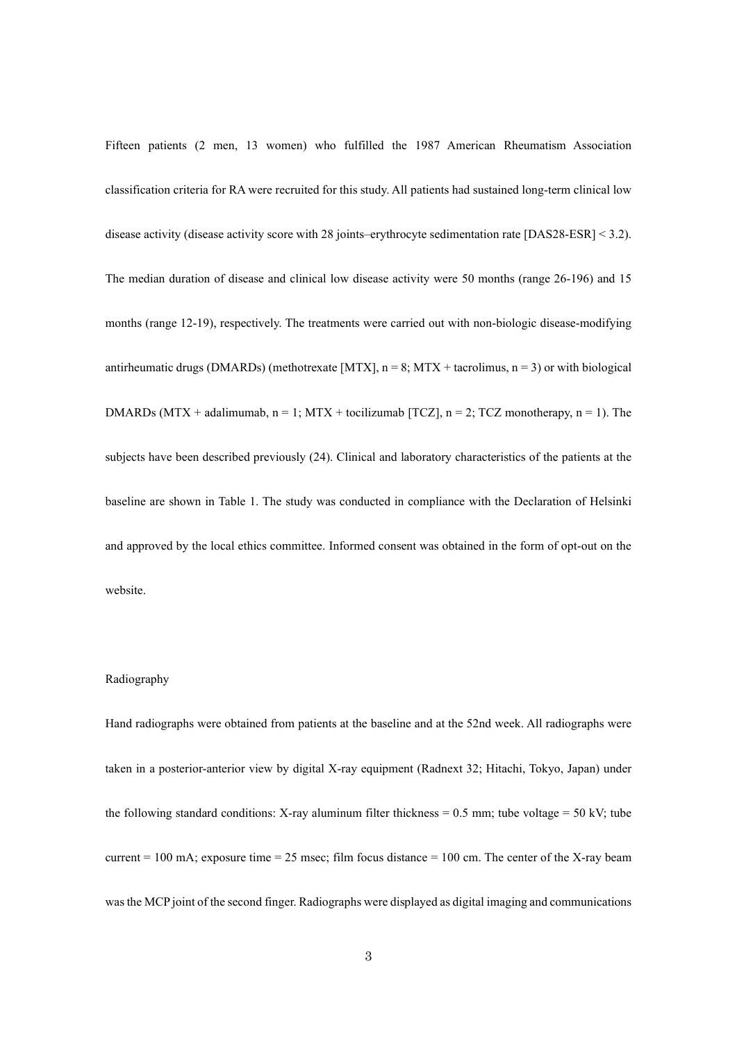Fifteen patients (2 men, 13 women) who fulfilled the 1987 American Rheumatism Association classification criteria for RA were recruited for this study. All patients had sustained long-term clinical low disease activity (disease activity score with 28 joints–erythrocyte sedimentation rate [DAS28-ESR] < 3.2). The median duration of disease and clinical low disease activity were 50 months (range 26-196) and 15 months (range 12-19), respectively. The treatments were carried out with non-biologic disease-modifying antirheumatic drugs (DMARDs) (methotrexate [MTX],  $n = 8$ ; MTX + tacrolimus,  $n = 3$ ) or with biological DMARDs (MTX + adalimumab,  $n = 1$ ; MTX + tocilizumab [TCZ],  $n = 2$ ; TCZ monotherapy,  $n = 1$ ). The subjects have been described previously (24). Clinical and laboratory characteristics of the patients at the baseline are shown in Table 1. The study was conducted in compliance with the Declaration of Helsinki and approved by the local ethics committee. Informed consent was obtained in the form of opt-out on the website.

## Radiography

Hand radiographs were obtained from patients at the baseline and at the 52nd week. All radiographs were taken in a posterior-anterior view by digital X-ray equipment (Radnext 32; Hitachi, Tokyo, Japan) under the following standard conditions: X-ray aluminum filter thickness =  $0.5$  mm; tube voltage =  $50$  kV; tube current = 100 mA; exposure time = 25 msec; film focus distance = 100 cm. The center of the X-ray beam was the MCP joint of the second finger. Radiographs were displayed as digital imaging and communications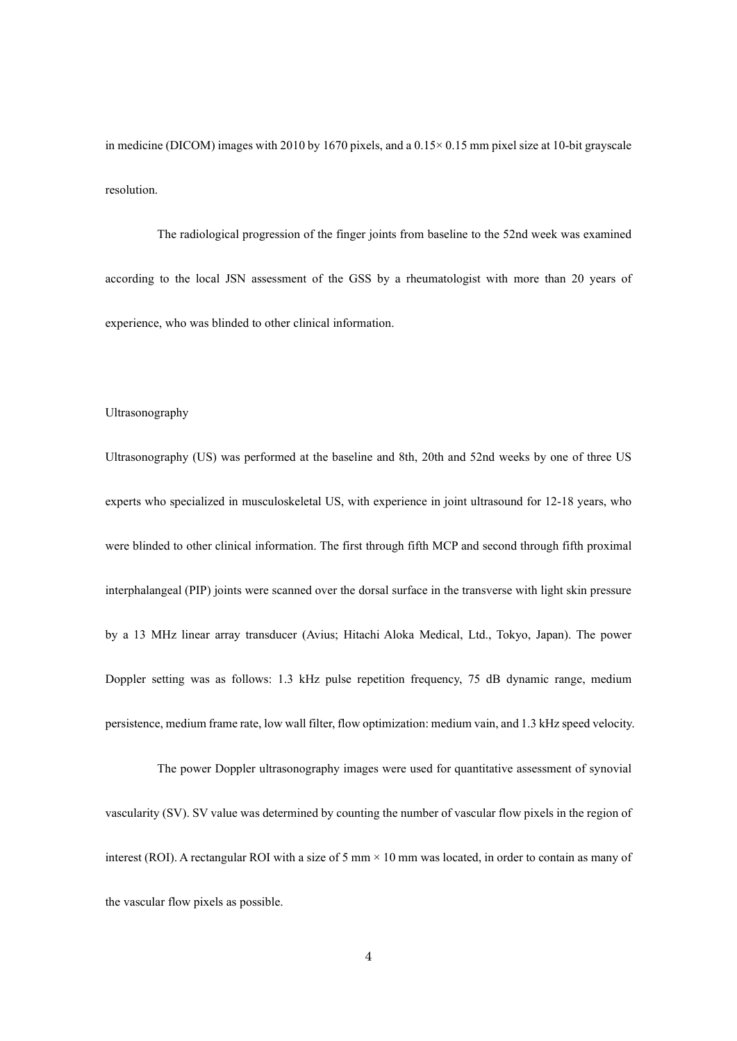in medicine (DICOM) images with 2010 by 1670 pixels, and a  $0.15 \times 0.15$  mm pixel size at 10-bit grayscale resolution.

The radiological progression of the finger joints from baseline to the 52nd week was examined according to the local JSN assessment of the GSS by a rheumatologist with more than 20 years of experience, who was blinded to other clinical information.

## Ultrasonography

Ultrasonography (US) was performed at the baseline and 8th, 20th and 52nd weeks by one of three US experts who specialized in musculoskeletal US, with experience in joint ultrasound for 12-18 years, who were blinded to other clinical information. The first through fifth MCP and second through fifth proximal interphalangeal (PIP) joints were scanned over the dorsal surface in the transverse with light skin pressure by a 13 MHz linear array transducer (Avius; Hitachi Aloka Medical, Ltd., Tokyo, Japan). The power Doppler setting was as follows: 1.3 kHz pulse repetition frequency, 75 dB dynamic range, medium persistence, medium frame rate, low wall filter, flow optimization: medium vain, and 1.3 kHz speed velocity.

The power Doppler ultrasonography images were used for quantitative assessment of synovial vascularity (SV). SV value was determined by counting the number of vascular flow pixels in the region of interest (ROI). A rectangular ROI with a size of 5 mm  $\times$  10 mm was located, in order to contain as many of the vascular flow pixels as possible.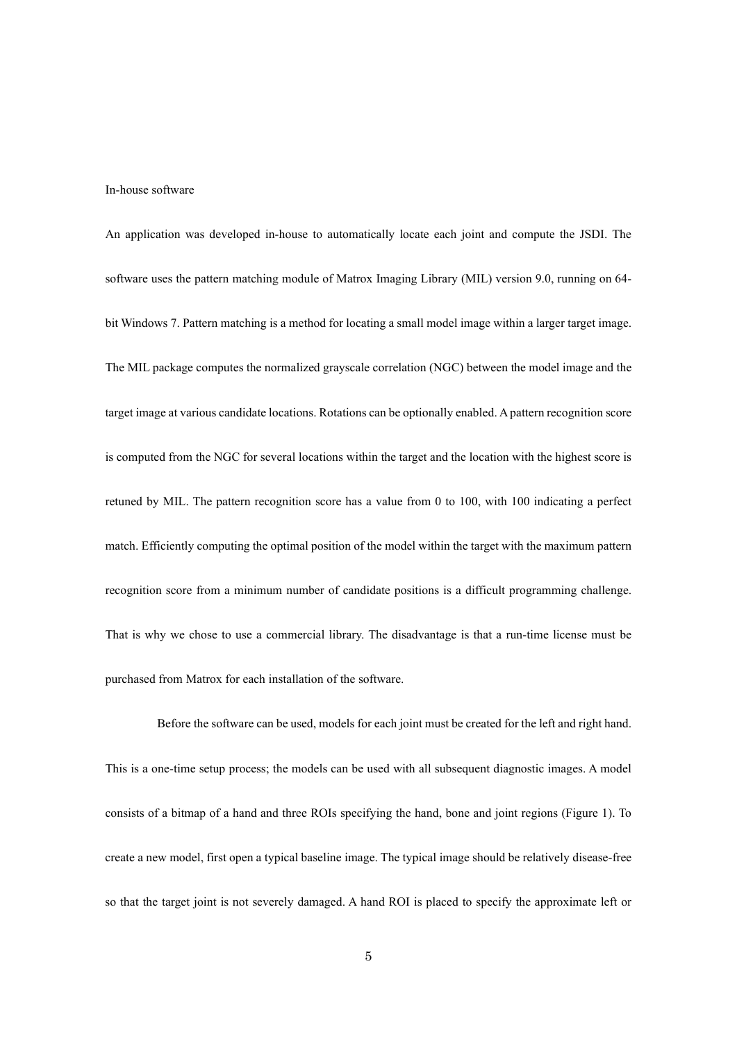### In-house software

An application was developed in-house to automatically locate each joint and compute the JSDI. The software uses the pattern matching module of Matrox Imaging Library (MIL) version 9.0, running on 64 bit Windows 7. Pattern matching is a method for locating a small model image within a larger target image. The MIL package computes the normalized grayscale correlation (NGC) between the model image and the target image at various candidate locations. Rotations can be optionally enabled. A pattern recognition score is computed from the NGC for several locations within the target and the location with the highest score is retuned by MIL. The pattern recognition score has a value from 0 to 100, with 100 indicating a perfect match. Efficiently computing the optimal position of the model within the target with the maximum pattern recognition score from a minimum number of candidate positions is a difficult programming challenge. That is why we chose to use a commercial library. The disadvantage is that a run-time license must be purchased from Matrox for each installation of the software.

Before the software can be used, models for each joint must be created for the left and right hand. This is a one-time setup process; the models can be used with all subsequent diagnostic images. A model consists of a bitmap of a hand and three ROIs specifying the hand, bone and joint regions (Figure 1). To create a new model, first open a typical baseline image. The typical image should be relatively disease-free so that the target joint is not severely damaged. A hand ROI is placed to specify the approximate left or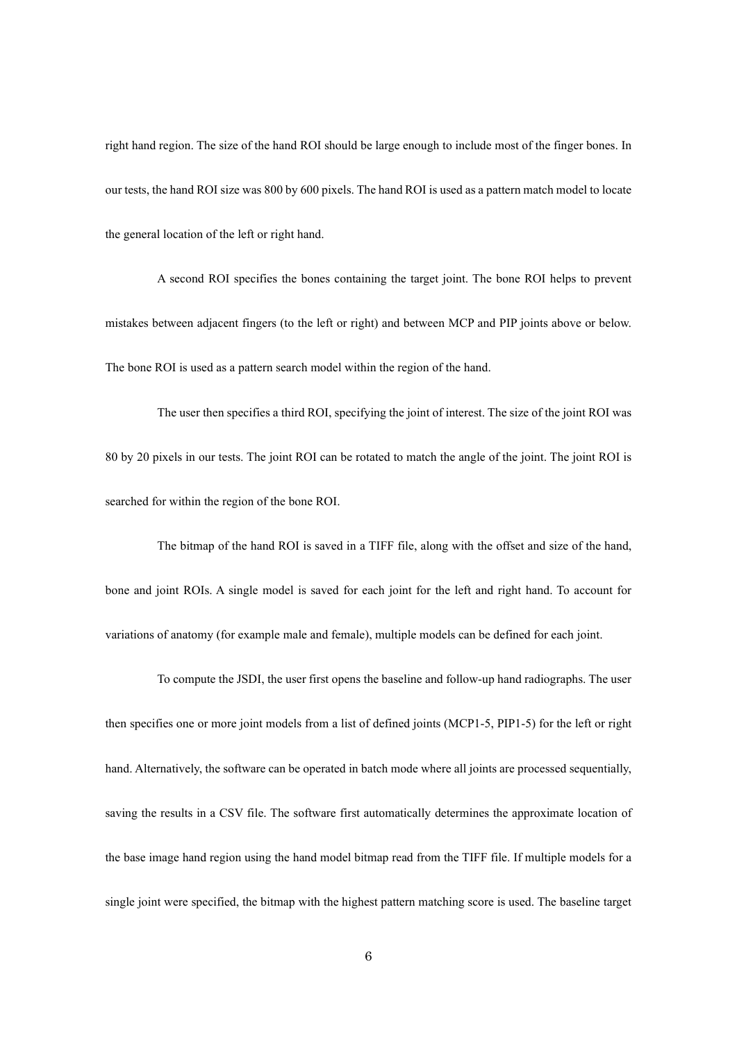right hand region. The size of the hand ROI should be large enough to include most of the finger bones. In our tests, the hand ROI size was 800 by 600 pixels. The hand ROI is used as a pattern match model to locate the general location of the left or right hand.

A second ROI specifies the bones containing the target joint. The bone ROI helps to prevent mistakes between adjacent fingers (to the left or right) and between MCP and PIP joints above or below. The bone ROI is used as a pattern search model within the region of the hand.

The user then specifies a third ROI, specifying the joint of interest. The size of the joint ROI was 80 by 20 pixels in our tests. The joint ROI can be rotated to match the angle of the joint. The joint ROI is searched for within the region of the bone ROI.

The bitmap of the hand ROI is saved in a TIFF file, along with the offset and size of the hand, bone and joint ROIs. A single model is saved for each joint for the left and right hand. To account for variations of anatomy (for example male and female), multiple models can be defined for each joint.

To compute the JSDI, the user first opens the baseline and follow-up hand radiographs. The user then specifies one or more joint models from a list of defined joints (MCP1-5, PIP1-5) for the left or right hand. Alternatively, the software can be operated in batch mode where all joints are processed sequentially, saving the results in a CSV file. The software first automatically determines the approximate location of the base image hand region using the hand model bitmap read from the TIFF file. If multiple models for a single joint were specified, the bitmap with the highest pattern matching score is used. The baseline target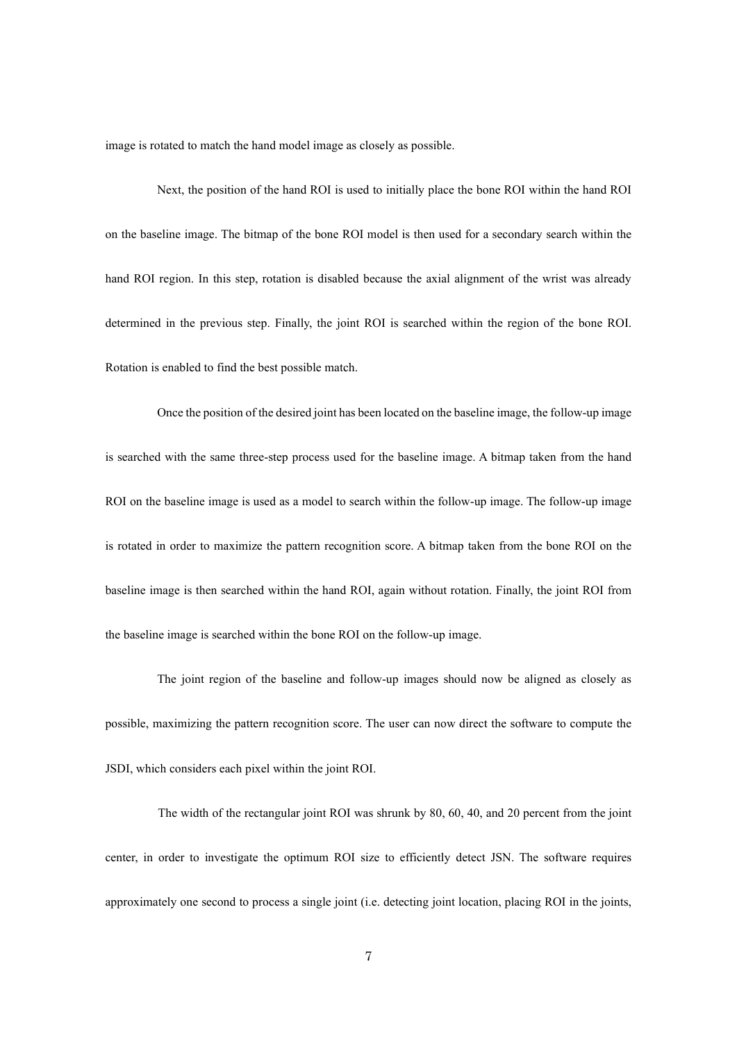image is rotated to match the hand model image as closely as possible.

Next, the position of the hand ROI is used to initially place the bone ROI within the hand ROI on the baseline image. The bitmap of the bone ROI model is then used for a secondary search within the hand ROI region. In this step, rotation is disabled because the axial alignment of the wrist was already determined in the previous step. Finally, the joint ROI is searched within the region of the bone ROI. Rotation is enabled to find the best possible match.

Once the position of the desired joint has been located on the baseline image, the follow-up image is searched with the same three-step process used for the baseline image. A bitmap taken from the hand ROI on the baseline image is used as a model to search within the follow-up image. The follow-up image is rotated in order to maximize the pattern recognition score. A bitmap taken from the bone ROI on the baseline image is then searched within the hand ROI, again without rotation. Finally, the joint ROI from the baseline image is searched within the bone ROI on the follow-up image.

The joint region of the baseline and follow-up images should now be aligned as closely as possible, maximizing the pattern recognition score. The user can now direct the software to compute the JSDI, which considers each pixel within the joint ROI.

The width of the rectangular joint ROI was shrunk by 80, 60, 40, and 20 percent from the joint center, in order to investigate the optimum ROI size to efficiently detect JSN. The software requires approximately one second to process a single joint (i.e. detecting joint location, placing ROI in the joints,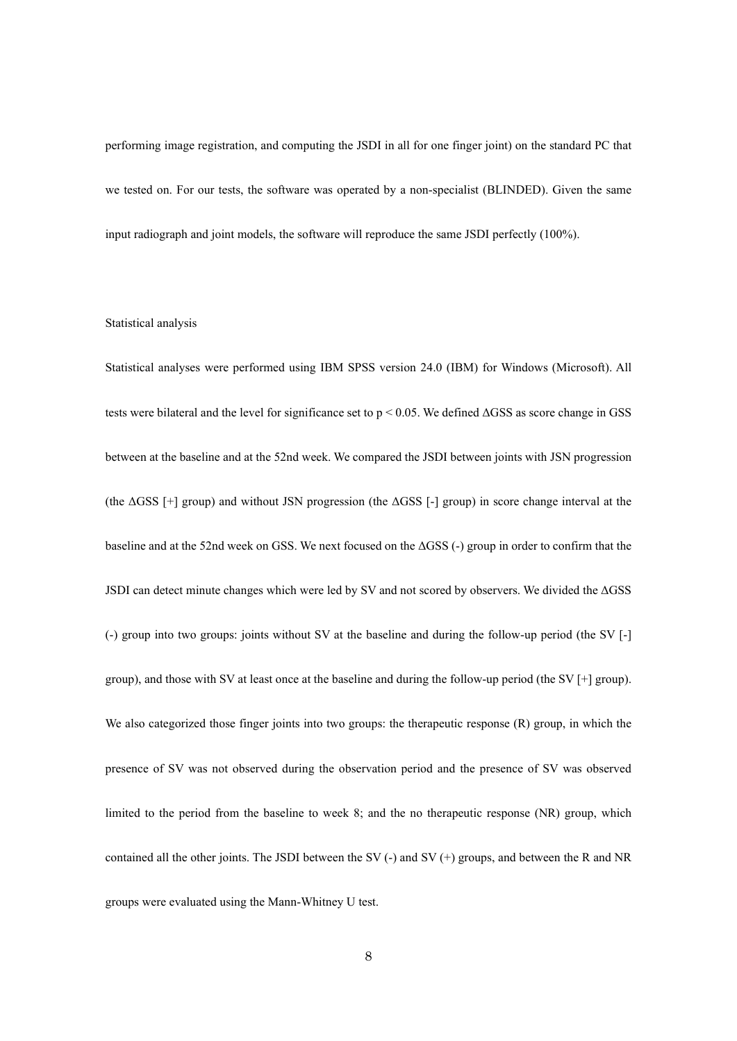performing image registration, and computing the JSDI in all for one finger joint) on the standard PC that we tested on. For our tests, the software was operated by a non-specialist (BLINDED). Given the same input radiograph and joint models, the software will reproduce the same JSDI perfectly (100%).

## Statistical analysis

Statistical analyses were performed using IBM SPSS version 24.0 (IBM) for Windows (Microsoft). All tests were bilateral and the level for significance set to  $p < 0.05$ . We defined  $\triangle GSS$  as score change in GSS between at the baseline and at the 52nd week. We compared the JSDI between joints with JSN progression (the ΔGSS [+] group) and without JSN progression (the ΔGSS [-] group) in score change interval at the baseline and at the 52nd week on GSS. We next focused on the ΔGSS (-) group in order to confirm that the JSDI can detect minute changes which were led by SV and not scored by observers. We divided the ΔGSS (-) group into two groups: joints without SV at the baseline and during the follow-up period (the SV [-] group), and those with SV at least once at the baseline and during the follow-up period (the SV [+] group). We also categorized those finger joints into two groups: the therapeutic response (R) group, in which the presence of SV was not observed during the observation period and the presence of SV was observed limited to the period from the baseline to week 8; and the no therapeutic response (NR) group, which contained all the other joints. The JSDI between the SV (-) and SV (+) groups, and between the R and NR groups were evaluated using the Mann-Whitney U test.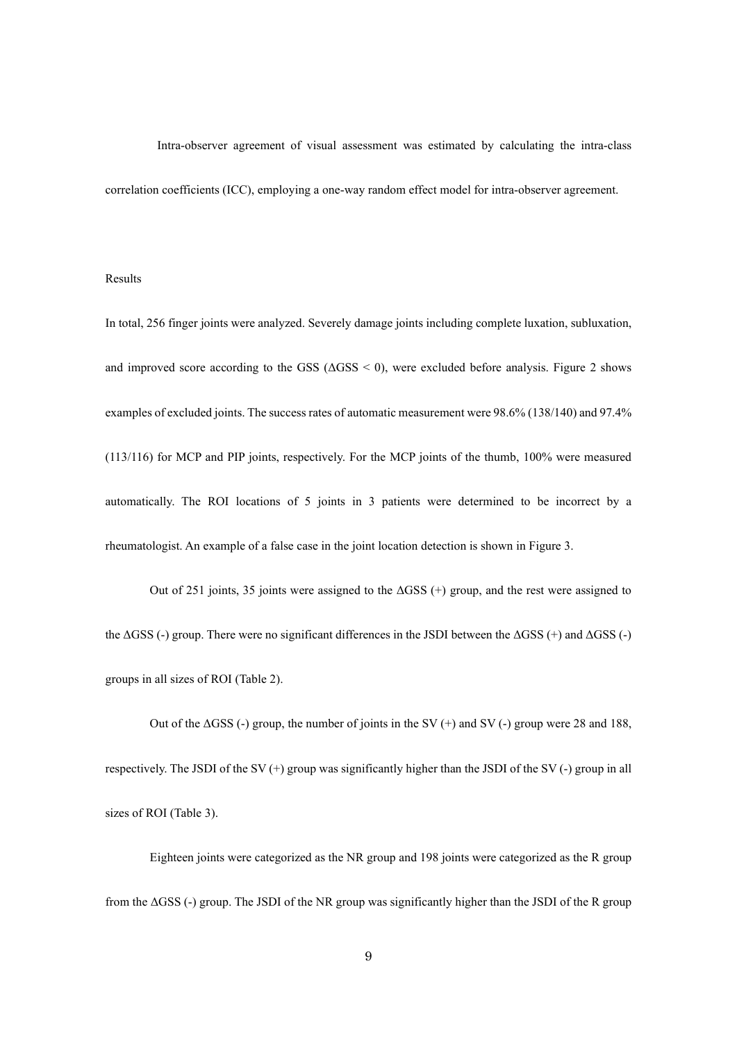Intra-observer agreement of visual assessment was estimated by calculating the intra-class correlation coefficients (ICC), employing a one-way random effect model for intra-observer agreement.

## Results

In total, 256 finger joints were analyzed. Severely damage joints including complete luxation, subluxation, and improved score according to the GSS ( $\Delta$ GSS < 0), were excluded before analysis. Figure 2 shows examples of excluded joints. The success rates of automatic measurement were 98.6% (138/140) and 97.4% (113/116) for MCP and PIP joints, respectively. For the MCP joints of the thumb, 100% were measured automatically. The ROI locations of 5 joints in 3 patients were determined to be incorrect by a rheumatologist. An example of a false case in the joint location detection is shown in Figure 3.

Out of 251 joints, 35 joints were assigned to the  $\Delta$ GSS (+) group, and the rest were assigned to the ΔGSS (-) group. There were no significant differences in the JSDI between the ΔGSS (+) and ΔGSS (-) groups in all sizes of ROI (Table 2).

Out of the  $\triangle GSS$  (-) group, the number of joints in the SV (+) and SV (-) group were 28 and 188, respectively. The JSDI of the SV (+) group was significantly higher than the JSDI of the SV (-) group in all sizes of ROI (Table 3).

Eighteen joints were categorized as the NR group and 198 joints were categorized as the R group from the ΔGSS (-) group. The JSDI of the NR group was significantly higher than the JSDI of the R group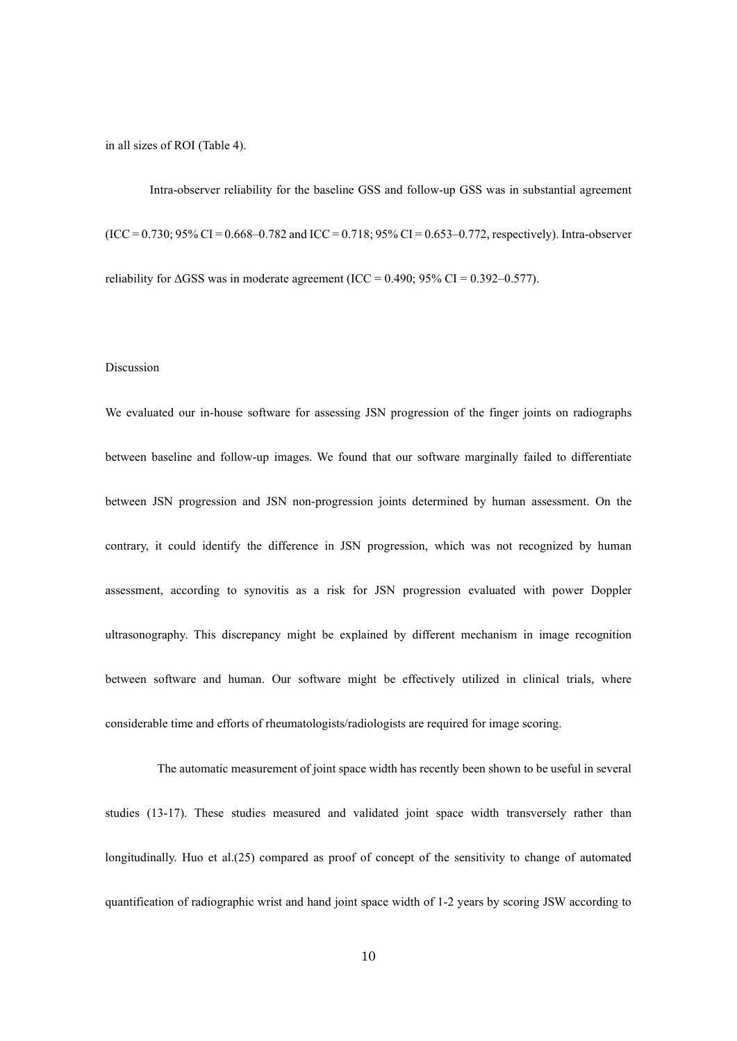in all sizes of ROI (Table 4).

Intra-observer reliability for the baseline GSS and follow-up GSS was in substantial agreement  $(ICC = 0.730; 95\% CI = 0.668 - 0.782$  and  $ICC = 0.718; 95\% CI = 0.653 - 0.772$ , respectively). Intra-observer reliability for  $\triangle GSS$  was in moderate agreement (ICC = 0.490; 95% CI = 0.392–0.577).

#### Discussion

We evaluated our in-house software for assessing JSN progression of the finger joints on radiographs between baseline and follow-up images. We found that our software marginally failed to differentiate between JSN progression and JSN non-progression joints determined by human assessment. On the contrary, it could identify the difference in JSN progression, which was not recognized by human assessment, according to synovitis as a risk for JSN progression evaluated with power Doppler ultrasonography. This discrepancy might be explained by different mechanism in image recognition between software and human. Our software might be effectively utilized in clinical trials, where considerable time and efforts of rheumatologists/radiologists are required for image scoring.

The automatic measurement of joint space width has recently been shown to be useful in several studies (13-17). These studies measured and validated joint space width transversely rather than longitudinally. Huo et al.(25) compared as proof of concept of the sensitivity to change of automated quantification of radiographic wrist and hand joint space width of 1-2 years by scoring JSW according to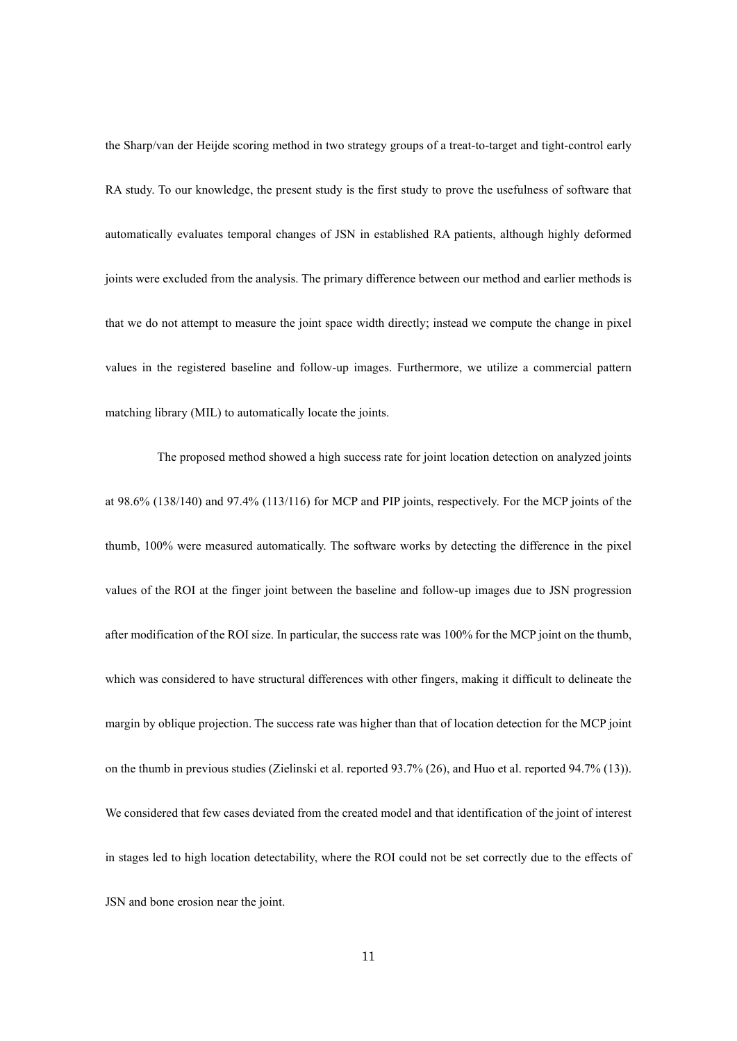the Sharp/van der Heijde scoring method in two strategy groups of a treat-to-target and tight-control early RA study. To our knowledge, the present study is the first study to prove the usefulness of software that automatically evaluates temporal changes of JSN in established RA patients, although highly deformed joints were excluded from the analysis. The primary difference between our method and earlier methods is that we do not attempt to measure the joint space width directly; instead we compute the change in pixel values in the registered baseline and follow-up images. Furthermore, we utilize a commercial pattern matching library (MIL) to automatically locate the joints.

The proposed method showed a high success rate for joint location detection on analyzed joints at 98.6% (138/140) and 97.4% (113/116) for MCP and PIP joints, respectively. For the MCP joints of the thumb, 100% were measured automatically. The software works by detecting the difference in the pixel values of the ROI at the finger joint between the baseline and follow-up images due to JSN progression after modification of the ROI size. In particular, the success rate was 100% for the MCP joint on the thumb, which was considered to have structural differences with other fingers, making it difficult to delineate the margin by oblique projection. The success rate was higher than that of location detection for the MCP joint on the thumb in previous studies (Zielinski et al. reported 93.7% (26), and Huo et al. reported 94.7% (13)). We considered that few cases deviated from the created model and that identification of the joint of interest in stages led to high location detectability, where the ROI could not be set correctly due to the effects of JSN and bone erosion near the joint.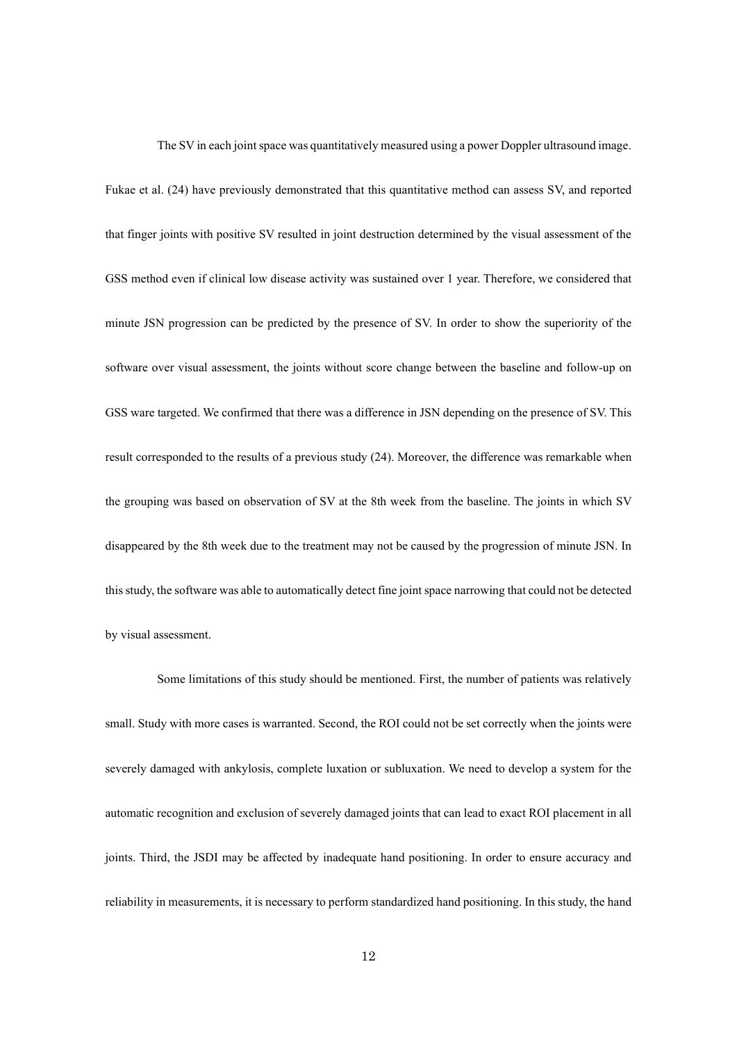The SV in each joint space was quantitatively measured using a power Doppler ultrasound image. Fukae et al. (24) have previously demonstrated that this quantitative method can assess SV, and reported that finger joints with positive SV resulted in joint destruction determined by the visual assessment of the GSS method even if clinical low disease activity was sustained over 1 year. Therefore, we considered that minute JSN progression can be predicted by the presence of SV. In order to show the superiority of the software over visual assessment, the joints without score change between the baseline and follow-up on GSS ware targeted. We confirmed that there was a difference in JSN depending on the presence of SV. This result corresponded to the results of a previous study (24). Moreover, the difference was remarkable when the grouping was based on observation of SV at the 8th week from the baseline. The joints in which SV disappeared by the 8th week due to the treatment may not be caused by the progression of minute JSN. In this study, the software was able to automatically detect fine joint space narrowing that could not be detected by visual assessment.

Some limitations of this study should be mentioned. First, the number of patients was relatively small. Study with more cases is warranted. Second, the ROI could not be set correctly when the joints were severely damaged with ankylosis, complete luxation or subluxation. We need to develop a system for the automatic recognition and exclusion of severely damaged joints that can lead to exact ROI placement in all joints. Third, the JSDI may be affected by inadequate hand positioning. In order to ensure accuracy and reliability in measurements, it is necessary to perform standardized hand positioning. In this study, the hand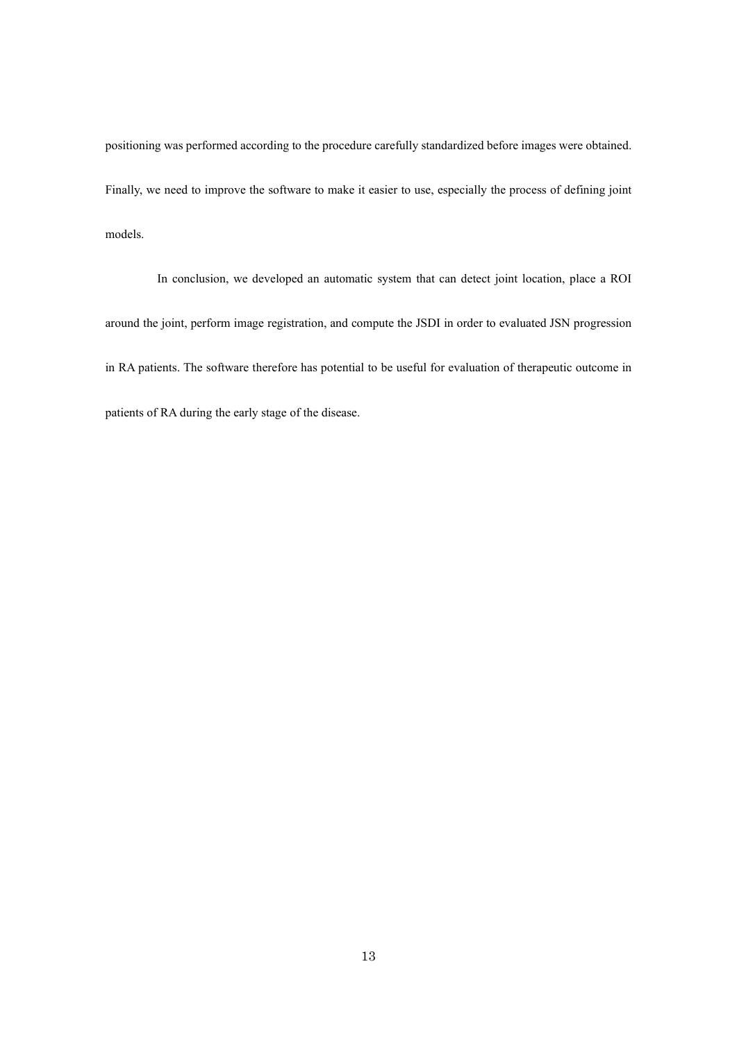positioning was performed according to the procedure carefully standardized before images were obtained. Finally, we need to improve the software to make it easier to use, especially the process of defining joint models.

In conclusion, we developed an automatic system that can detect joint location, place a ROI around the joint, perform image registration, and compute the JSDI in order to evaluated JSN progression in RA patients. The software therefore has potential to be useful for evaluation of therapeutic outcome in patients of RA during the early stage of the disease.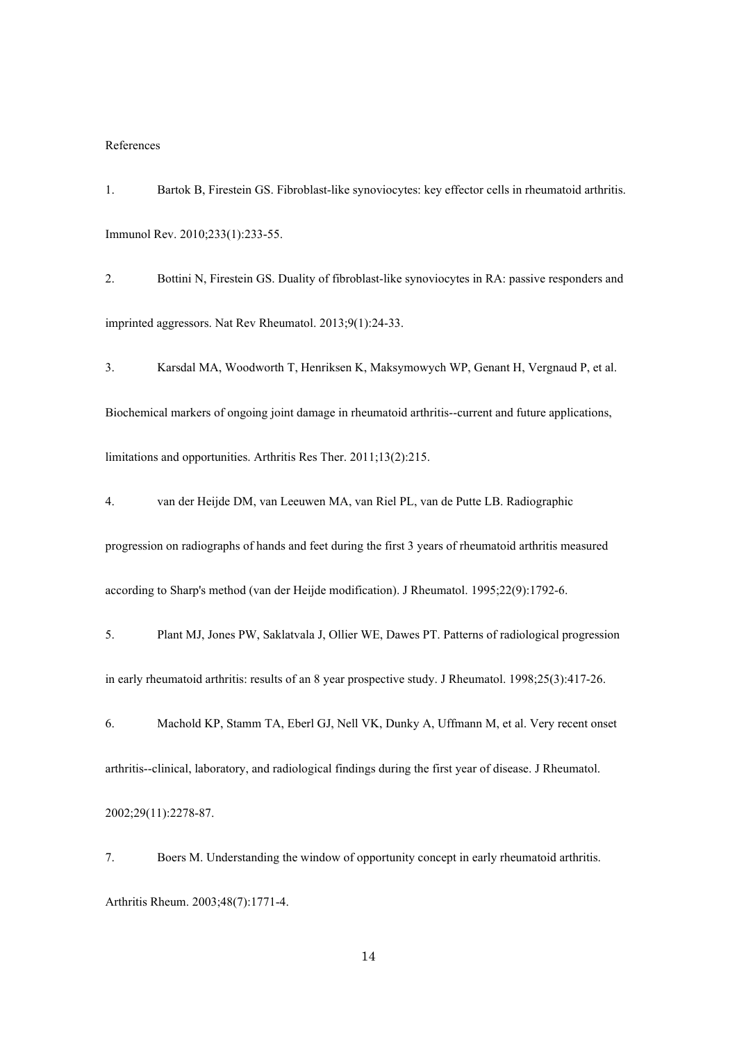### References

1. Bartok B, Firestein GS. Fibroblast-like synoviocytes: key effector cells in rheumatoid arthritis. Immunol Rev. 2010;233(1):233-55.

- 2. Bottini N, Firestein GS. Duality of fibroblast-like synoviocytes in RA: passive responders and imprinted aggressors. Nat Rev Rheumatol. 2013;9(1):24-33.
- 3. Karsdal MA, Woodworth T, Henriksen K, Maksymowych WP, Genant H, Vergnaud P, et al. Biochemical markers of ongoing joint damage in rheumatoid arthritis--current and future applications, limitations and opportunities. Arthritis Res Ther. 2011;13(2):215.
- 4. van der Heijde DM, van Leeuwen MA, van Riel PL, van de Putte LB. Radiographic

progression on radiographs of hands and feet during the first 3 years of rheumatoid arthritis measured according to Sharp's method (van der Heijde modification). J Rheumatol. 1995;22(9):1792-6.

- 5. Plant MJ, Jones PW, Saklatvala J, Ollier WE, Dawes PT. Patterns of radiological progression in early rheumatoid arthritis: results of an 8 year prospective study. J Rheumatol. 1998;25(3):417-26.
- 6. Machold KP, Stamm TA, Eberl GJ, Nell VK, Dunky A, Uffmann M, et al. Very recent onset arthritis--clinical, laboratory, and radiological findings during the first year of disease. J Rheumatol. 2002;29(11):2278-87.

7. Boers M. Understanding the window of opportunity concept in early rheumatoid arthritis. Arthritis Rheum. 2003;48(7):1771-4.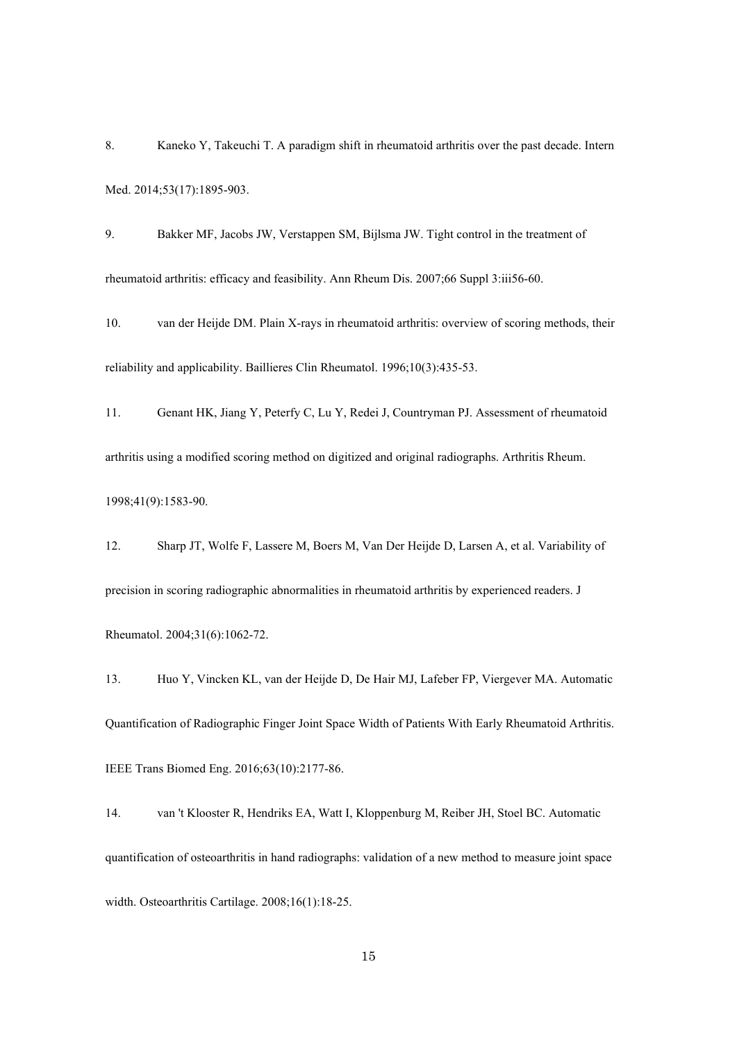8. Kaneko Y, Takeuchi T. A paradigm shift in rheumatoid arthritis over the past decade. Intern Med. 2014;53(17):1895-903.

9. Bakker MF, Jacobs JW, Verstappen SM, Bijlsma JW. Tight control in the treatment of rheumatoid arthritis: efficacy and feasibility. Ann Rheum Dis. 2007;66 Suppl 3:iii56-60.

10. van der Heijde DM. Plain X-rays in rheumatoid arthritis: overview of scoring methods, their reliability and applicability. Baillieres Clin Rheumatol. 1996;10(3):435-53.

11. Genant HK, Jiang Y, Peterfy C, Lu Y, Redei J, Countryman PJ. Assessment of rheumatoid arthritis using a modified scoring method on digitized and original radiographs. Arthritis Rheum. 1998;41(9):1583-90.

12. Sharp JT, Wolfe F, Lassere M, Boers M, Van Der Heijde D, Larsen A, et al. Variability of precision in scoring radiographic abnormalities in rheumatoid arthritis by experienced readers. J Rheumatol. 2004;31(6):1062-72.

13. Huo Y, Vincken KL, van der Heijde D, De Hair MJ, Lafeber FP, Viergever MA. Automatic Quantification of Radiographic Finger Joint Space Width of Patients With Early Rheumatoid Arthritis. IEEE Trans Biomed Eng. 2016;63(10):2177-86.

14. van 't Klooster R, Hendriks EA, Watt I, Kloppenburg M, Reiber JH, Stoel BC. Automatic quantification of osteoarthritis in hand radiographs: validation of a new method to measure joint space width. Osteoarthritis Cartilage. 2008;16(1):18-25.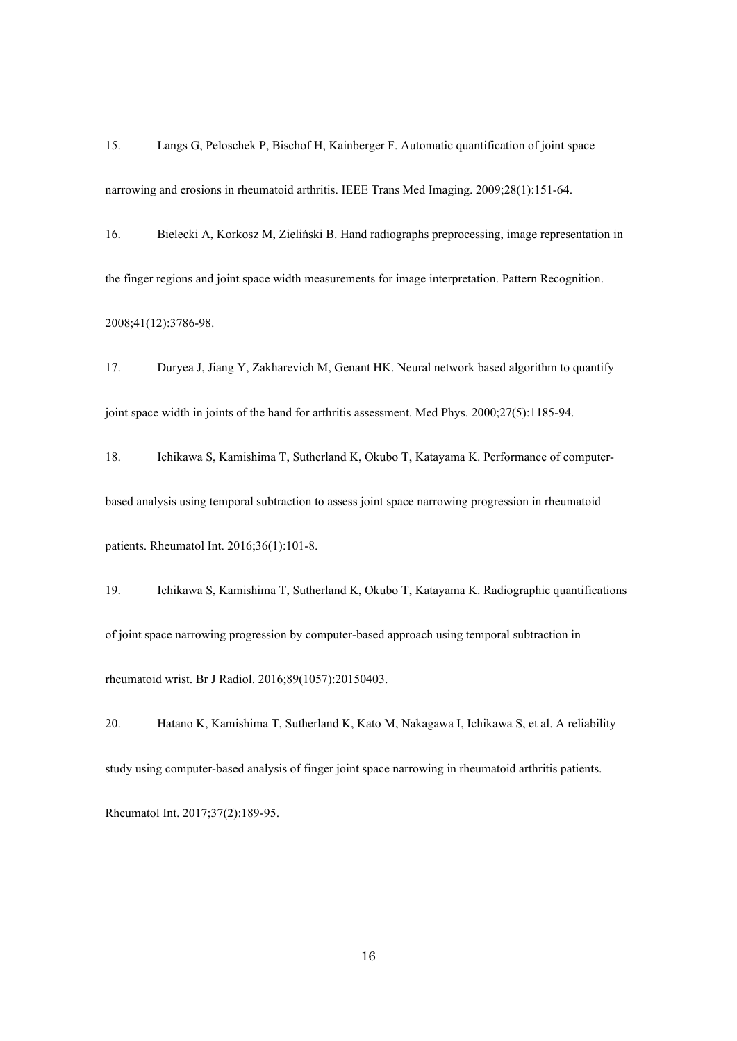15. Langs G, Peloschek P, Bischof H, Kainberger F. Automatic quantification of joint space narrowing and erosions in rheumatoid arthritis. IEEE Trans Med Imaging. 2009;28(1):151-64.

16. Bielecki A, Korkosz M, Zieliński B. Hand radiographs preprocessing, image representation in the finger regions and joint space width measurements for image interpretation. Pattern Recognition. 2008;41(12):3786-98.

17. Duryea J, Jiang Y, Zakharevich M, Genant HK. Neural network based algorithm to quantify joint space width in joints of the hand for arthritis assessment. Med Phys. 2000;27(5):1185-94.

18. Ichikawa S, Kamishima T, Sutherland K, Okubo T, Katayama K. Performance of computerbased analysis using temporal subtraction to assess joint space narrowing progression in rheumatoid patients. Rheumatol Int. 2016;36(1):101-8.

19. Ichikawa S, Kamishima T, Sutherland K, Okubo T, Katayama K. Radiographic quantifications of joint space narrowing progression by computer-based approach using temporal subtraction in rheumatoid wrist. Br J Radiol. 2016;89(1057):20150403.

20. Hatano K, Kamishima T, Sutherland K, Kato M, Nakagawa I, Ichikawa S, et al. A reliability study using computer-based analysis of finger joint space narrowing in rheumatoid arthritis patients. Rheumatol Int. 2017;37(2):189-95.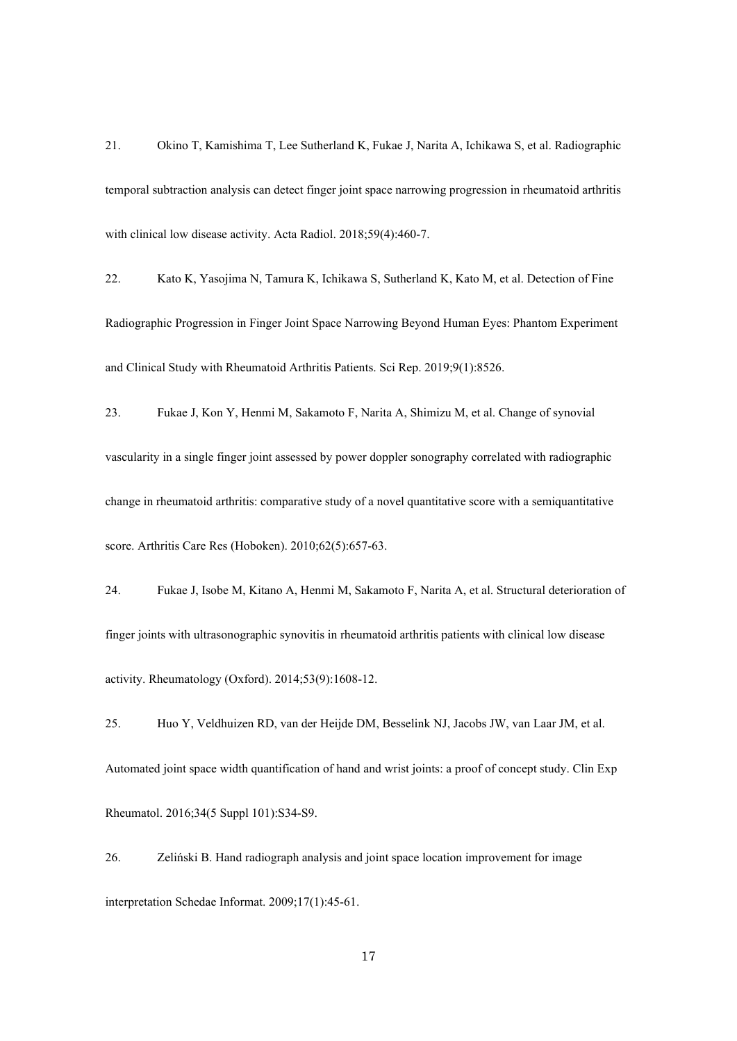21. Okino T, Kamishima T, Lee Sutherland K, Fukae J, Narita A, Ichikawa S, et al. Radiographic temporal subtraction analysis can detect finger joint space narrowing progression in rheumatoid arthritis with clinical low disease activity. Acta Radiol. 2018;59(4):460-7.

22. Kato K, Yasojima N, Tamura K, Ichikawa S, Sutherland K, Kato M, et al. Detection of Fine Radiographic Progression in Finger Joint Space Narrowing Beyond Human Eyes: Phantom Experiment and Clinical Study with Rheumatoid Arthritis Patients. Sci Rep. 2019;9(1):8526.

23. Fukae J, Kon Y, Henmi M, Sakamoto F, Narita A, Shimizu M, et al. Change of synovial vascularity in a single finger joint assessed by power doppler sonography correlated with radiographic change in rheumatoid arthritis: comparative study of a novel quantitative score with a semiquantitative score. Arthritis Care Res (Hoboken). 2010;62(5):657-63.

24. Fukae J, Isobe M, Kitano A, Henmi M, Sakamoto F, Narita A, et al. Structural deterioration of finger joints with ultrasonographic synovitis in rheumatoid arthritis patients with clinical low disease activity. Rheumatology (Oxford). 2014;53(9):1608-12.

25. Huo Y, Veldhuizen RD, van der Heijde DM, Besselink NJ, Jacobs JW, van Laar JM, et al. Automated joint space width quantification of hand and wrist joints: a proof of concept study. Clin Exp Rheumatol. 2016;34(5 Suppl 101):S34-S9.

26. Zeliński B. Hand radiograph analysis and joint space location improvement for image interpretation Schedae Informat. 2009;17(1):45-61.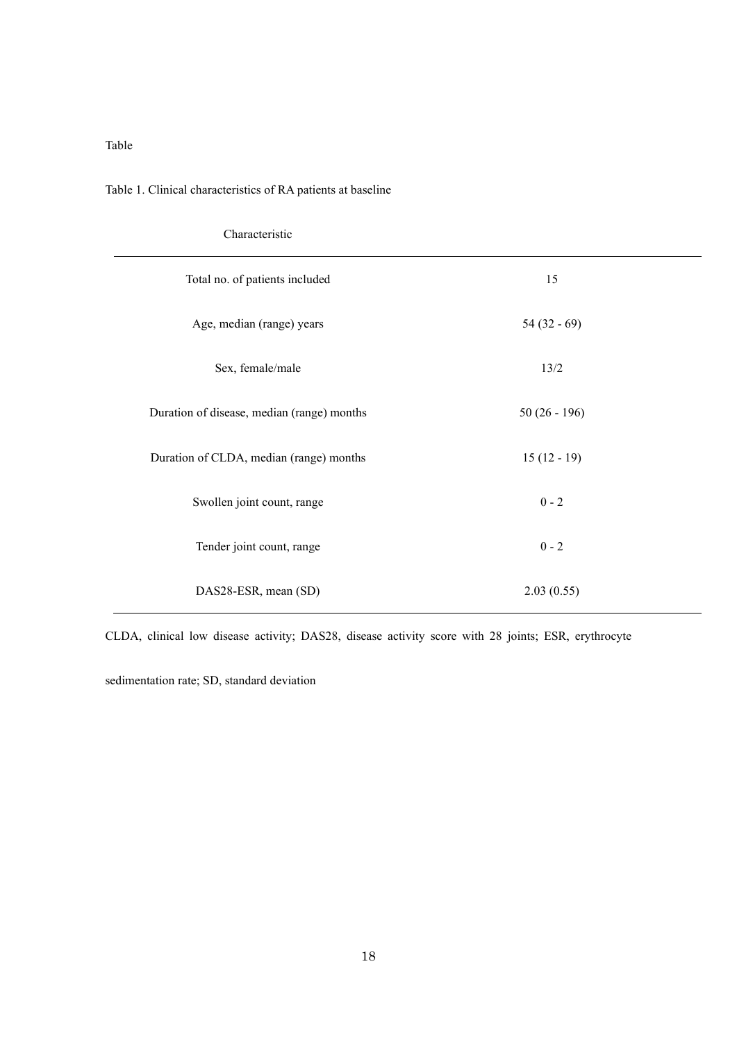# Table

Table 1. Clinical characteristics of RA patients at baseline

| Characteristic                             |                |
|--------------------------------------------|----------------|
| Total no. of patients included             | 15             |
| Age, median (range) years                  | $54(32-69)$    |
| Sex, female/male                           | 13/2           |
| Duration of disease, median (range) months | $50(26 - 196)$ |
| Duration of CLDA, median (range) months    | $15(12-19)$    |
| Swollen joint count, range                 | $0 - 2$        |
| Tender joint count, range                  | $0 - 2$        |
| DAS28-ESR, mean (SD)                       | 2.03(0.55)     |

CLDA, clinical low disease activity; DAS28, disease activity score with 28 joints; ESR, erythrocyte

sedimentation rate; SD, standard deviation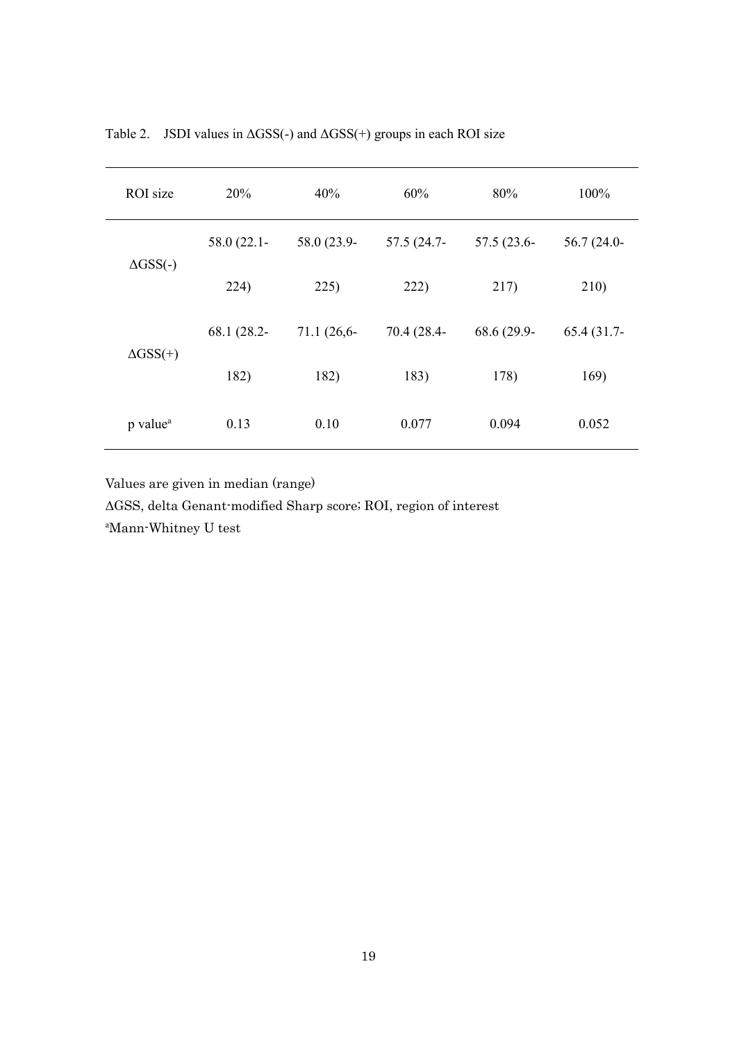| ROI size             | 20%         | 40%          | 60%         | 80%         | 100%        |
|----------------------|-------------|--------------|-------------|-------------|-------------|
| $\triangle GSS(-)$   | 58.0 (22.1- | 58.0 (23.9-  | 57.5 (24.7- | 57.5 (23.6- | 56.7 (24.0- |
|                      | 224)        | 225)         | 222)        | 217)        | 210)        |
| $\Delta GSS(+)$      | 68.1 (28.2- | $71.1(26,6-$ | 70.4 (28.4- | 68.6 (29.9- | 65.4 (31.7- |
|                      | 182)        | 182)         | 183)        | 178)        | 169)        |
| p value <sup>a</sup> | 0.13        | 0.10         | 0.077       | 0.094       | 0.052       |

Table 2. JSDI values in  $\Delta$ GSS(-) and  $\Delta$ GSS(+) groups in each ROI size

Values are given in median (range)

ΔGSS, delta Genant-modified Sharp score; ROI, region of interest

a Mann-Whitney U test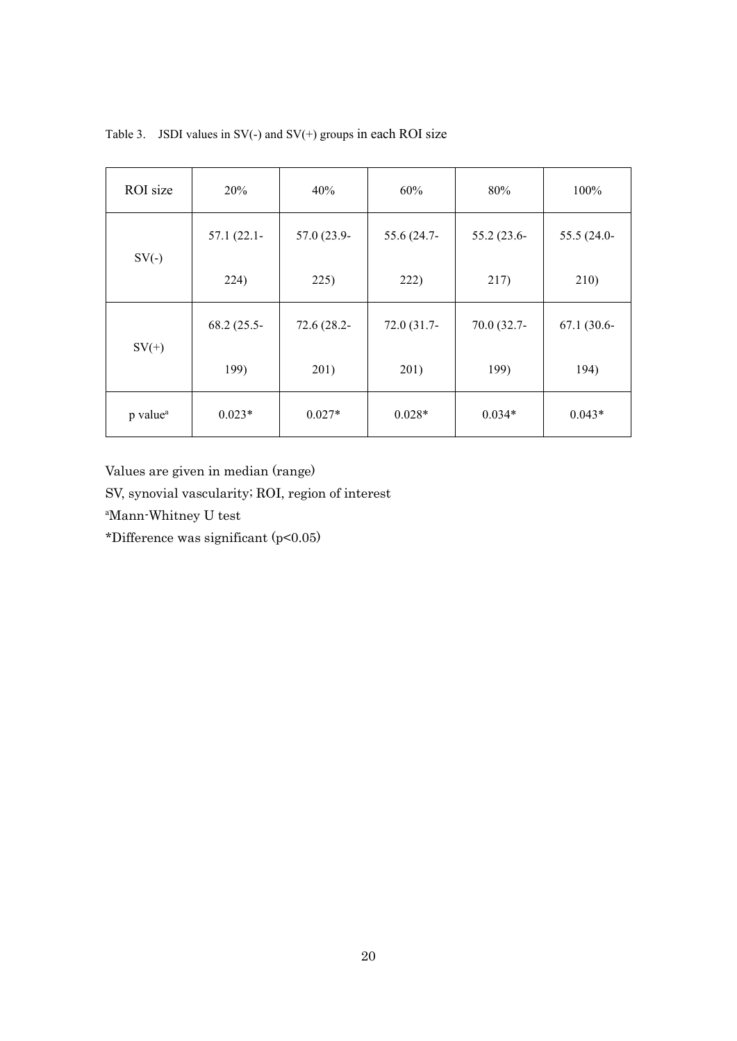| ROI size             | 20%           | 40%         | 60%         | 80%         | 100%          |
|----------------------|---------------|-------------|-------------|-------------|---------------|
| $SV(-)$              | $57.1(22.1 -$ | 57.0 (23.9- | 55.6 (24.7- | 55.2 (23.6- | 55.5 (24.0-   |
|                      | 224)          | 225)        | 222)        | 217)        | 210)          |
| $SV(+)$              | 68.2 (25.5-   | 72.6 (28.2- | 72.0 (31.7- | 70.0 (32.7- | $67.1(30.6 -$ |
|                      | 199)          | 201)        | 201)        | 199)        | 194)          |
| p value <sup>a</sup> | $0.023*$      | $0.027*$    | $0.028*$    | $0.034*$    | $0.043*$      |

Table 3. JSDI values in  $SV(-)$  and  $SV(+)$  groups in each ROI size

Values are given in median (range)

SV, synovial vascularity; ROI, region of interest

a Mann-Whitney U test

\*Difference was significant (p<0.05)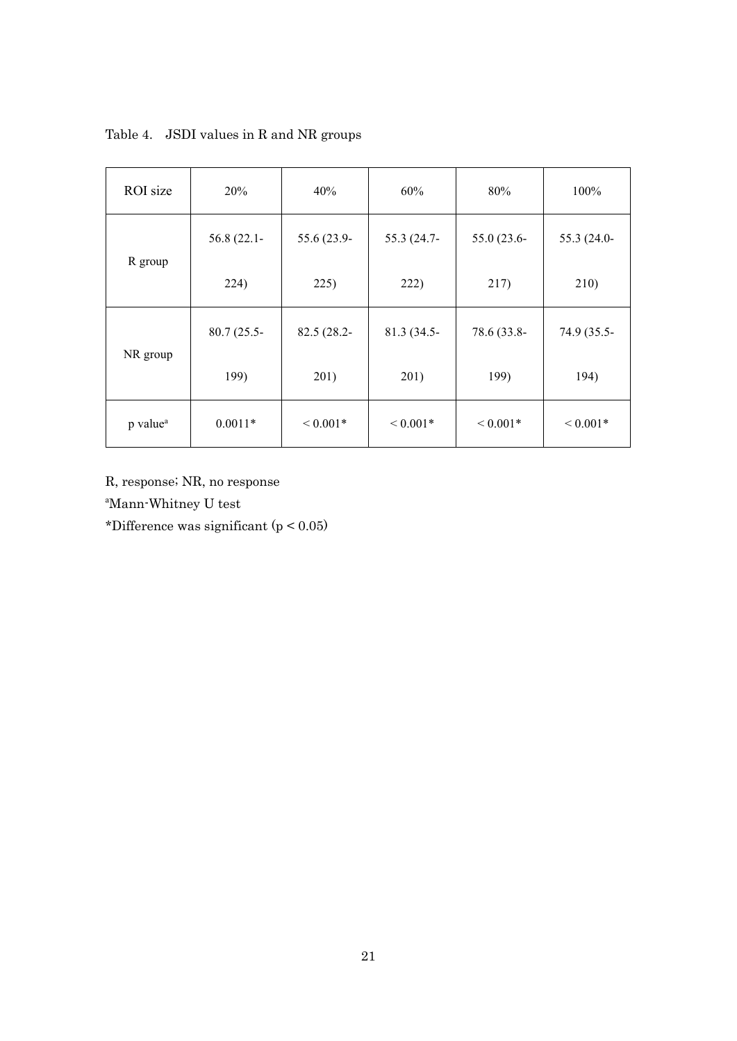| ROI size             | 20%         | 40%           | 60%          | 80%          | 100%         |
|----------------------|-------------|---------------|--------------|--------------|--------------|
| R group              | 56.8 (22.1- | 55.6 (23.9-   | 55.3 (24.7-  | 55.0 (23.6-  | 55.3 (24.0-  |
|                      | 224)        | 225)          | 222)         | 217)         | 210)         |
| NR group             | 80.7 (25.5- | 82.5 (28.2-   | 81.3 (34.5-  | 78.6 (33.8-  | 74.9 (35.5-  |
|                      | 199)        | 201)          | 201)         | 199)         | 194)         |
| p value <sup>a</sup> | $0.0011*$   | ${}_{0.001*}$ | ${}< 0.001*$ | ${}< 0.001*$ | ${}< 0.001*$ |

Table 4. JSDI values in R and NR groups

R, response; NR, no response

a Mann-Whitney U test

\*Difference was significant ( $p < 0.05$ )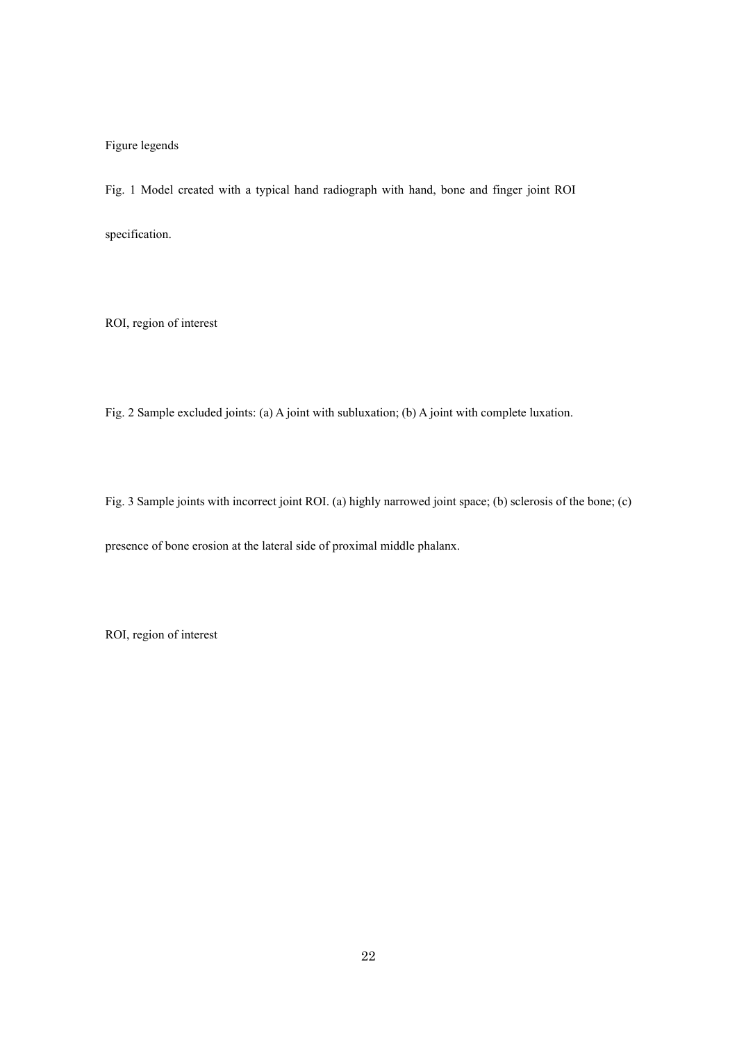Figure legends

Fig. 1 Model created with a typical hand radiograph with hand, bone and finger joint ROI specification.

ROI, region of interest

Fig. 2 Sample excluded joints: (a) A joint with subluxation; (b) A joint with complete luxation.

Fig. 3 Sample joints with incorrect joint ROI. (a) highly narrowed joint space; (b) sclerosis of the bone; (c)

presence of bone erosion at the lateral side of proximal middle phalanx.

ROI, region of interest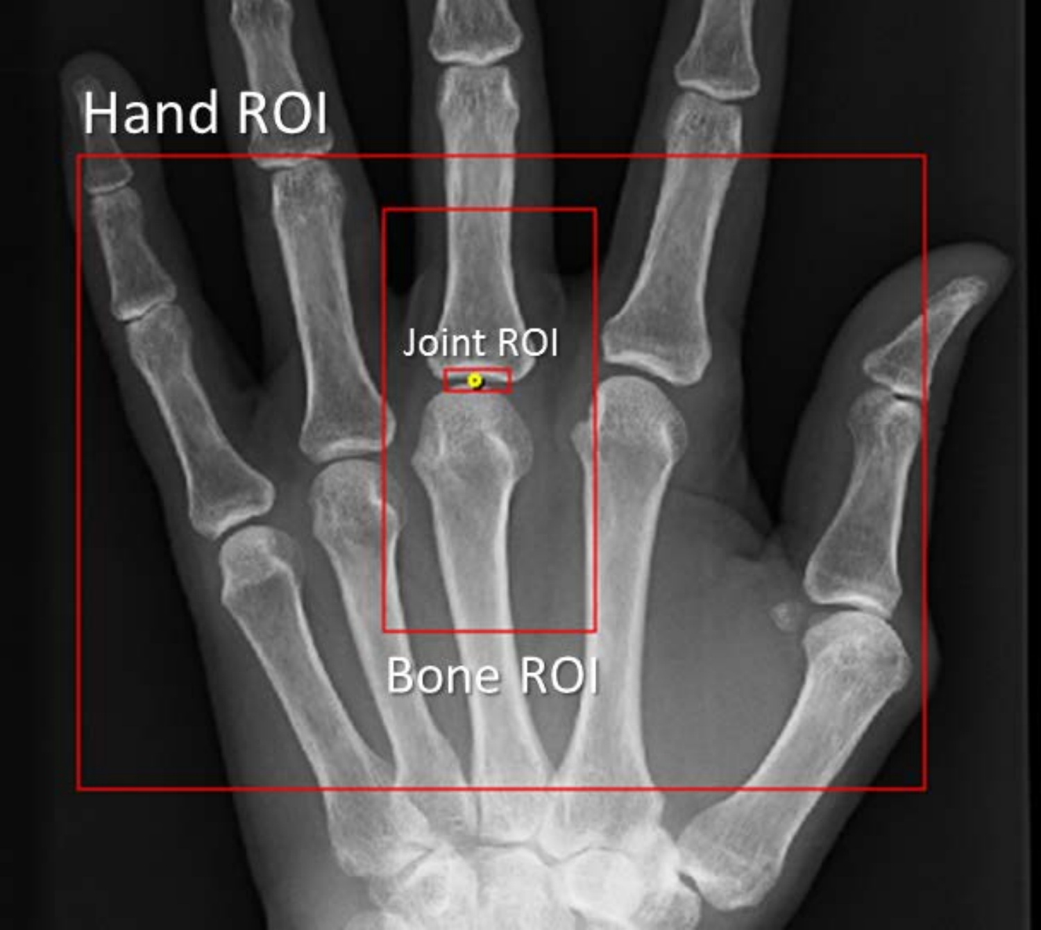#### Hand ROI

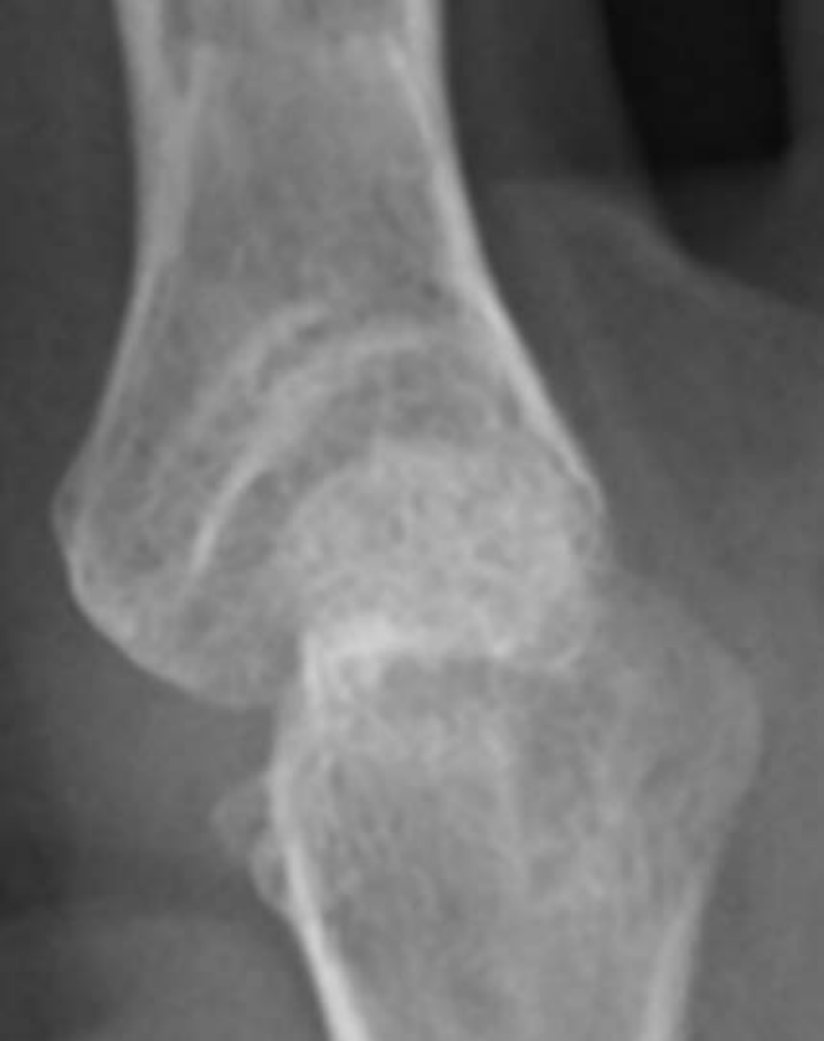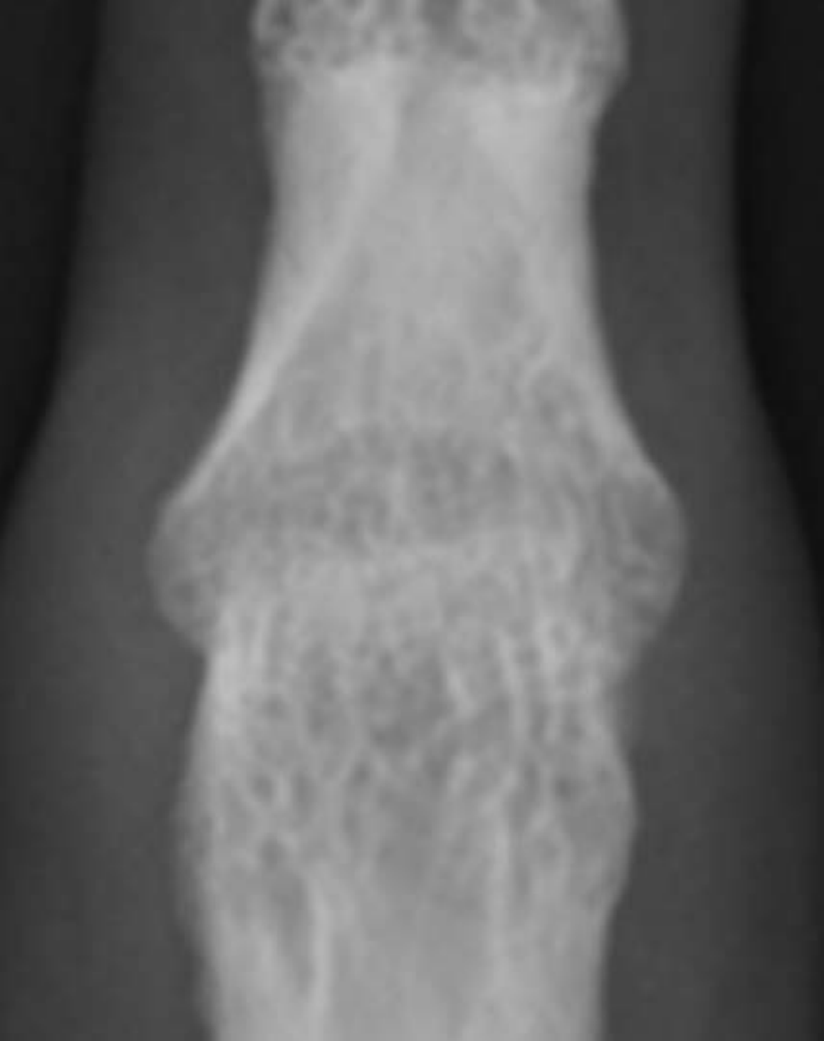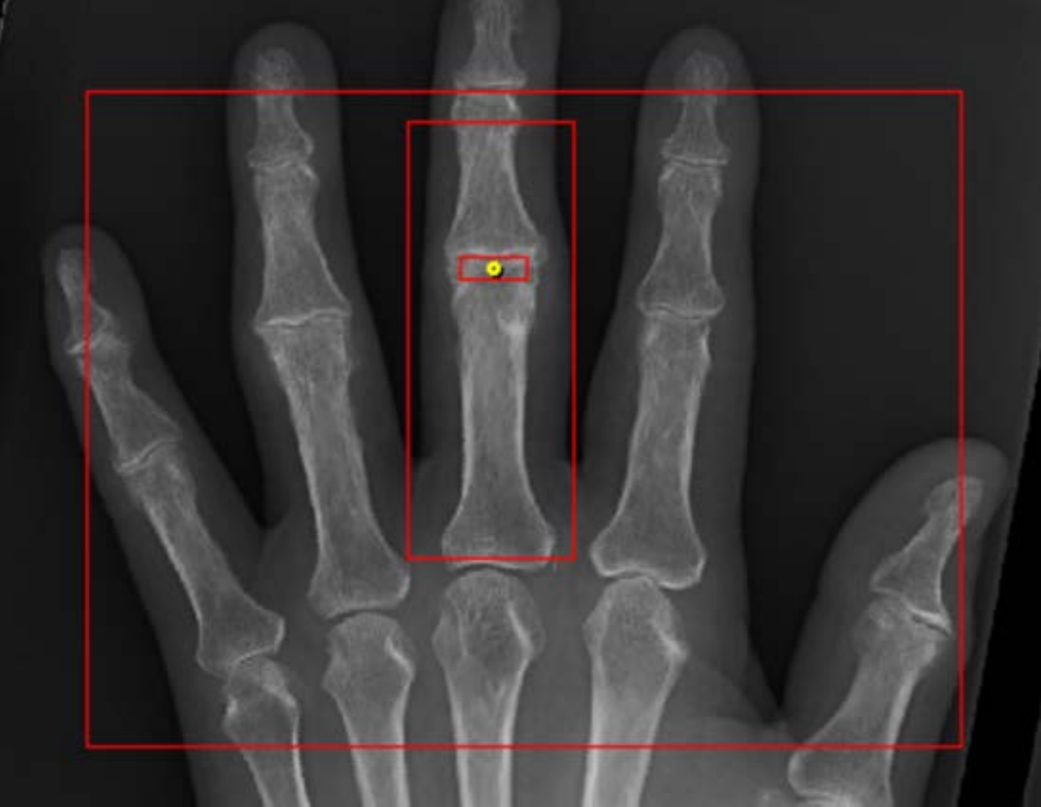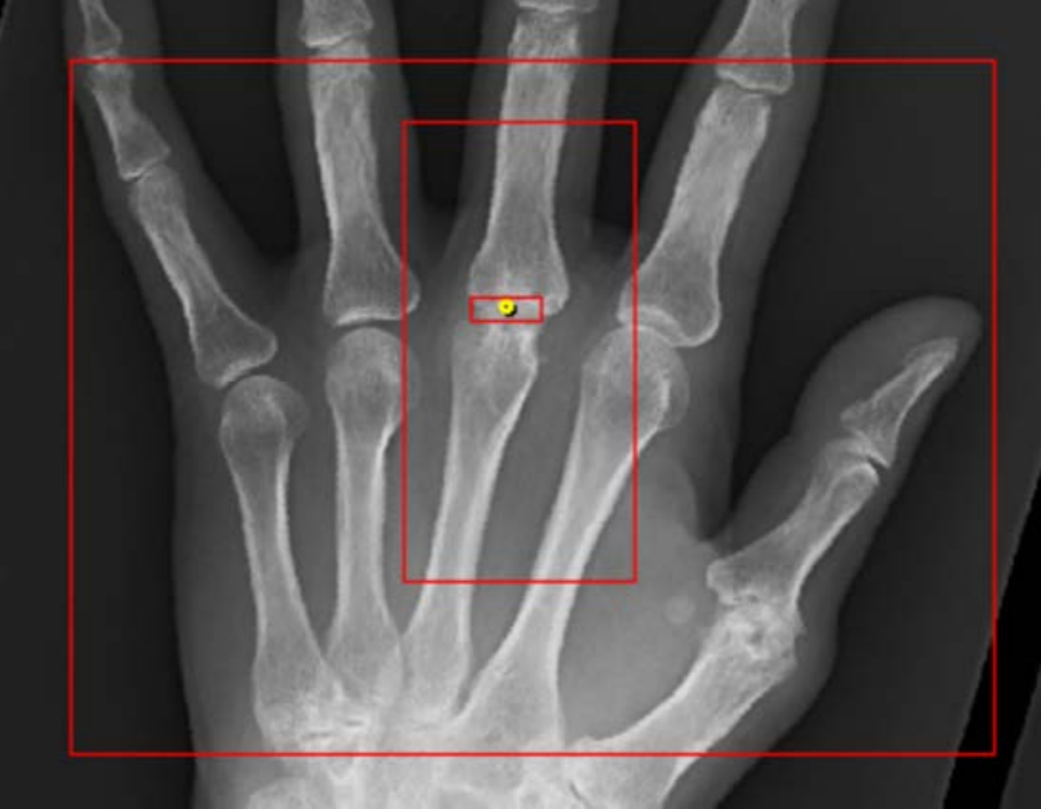